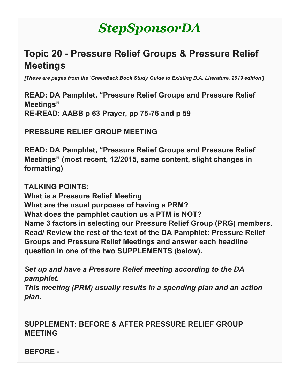# *StepSponsorDA*

# **Topic 20 - Pressure Relief Groups & Pressure Relief Meetings**

*[These are pages from the 'GreenBack Book Study Guide to Existing D.A. Literature. 2019 edition']*

**READ: DA Pamphlet, "Pressure Relief Groups and Pressure Relief Meetings" RE-READ: AABB p 63 Prayer, pp 75-76 and p 59**

**PRESSURE RELIEF GROUP MEETING**

**READ: DA Pamphlet, "Pressure Relief Groups and Pressure Relief Meetings" (most recent, 12/2015, same content, slight changes in formatting)**

**TALKING POINTS:**

**What is a Pressure Relief Meeting What are the usual purposes of having a PRM? What does the pamphlet caution us a PTM is NOT? Name 3 factors in selecting our Pressure Relief Group (PRG) members. Read/ Review the rest of the text of the DA Pamphlet: Pressure Relief Groups and Pressure Relief Meetings and answer each headline question in one of the two SUPPLEMENTS (below).**

*Set up and have a Pressure Relief meeting according to the DA pamphlet.*

*This meeting (PRM) usually results in a spending plan and an action plan.*

#### **SUPPLEMENT: BEFORE & AFTER PRESSURE RELIEF GROUP MEETING**

**BEFORE -**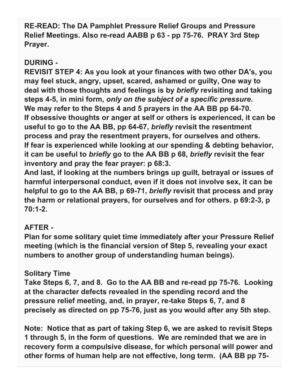**RE-READ: The DA Pamphlet Pressure Relief Groups and Pressure Relief Meetings. Also re-read AABB p 63 - pp 75-76. PRAY 3rd Step Prayer.**

#### **DURING -**

**REVISIT STEP 4: As you look at your finances with two other DA's, you may feel stuck, angry, upset, scared, ashamed or guilty, One way to deal with those thoughts and feelings is by** *briefly* **revisiting and taking steps 4-5, in mini form,** *only on the subject of a specific pressure***. We may refer to the Steps 4 and 5 prayers in the AA BB pp 64-70. If obsessive thoughts or anger at self or others is experienced, it can be useful to go to the AA BB, pp 64-67,** *briefly* **revisit the resentment process and pray the resentment prayers, for ourselves and others. If fear is experienced while looking at our spending & debting behavior, it can be useful to** *briefly* **go to the AA BB p 68,** *briefly* **revisit the fear inventory and pray the fear prayer: p 68:3.**

**And last, if looking at the numbers brings up guilt, betrayal or issues of harmful interpersonal conduct, even if it does not involve sex, it can be helpful to go to the AA BB, p 69-71,** *briefly* **revisit that process and pray the harm or relational prayers, for ourselves and for others. p 69:2-3, p 70:1-2.**

# **AFTER -**

**Plan for some solitary quiet time immediately after your Pressure Relief meeting (which is the financial version of Step 5, revealing your exact numbers to another group of understanding human beings).**

# **Solitary Time**

**Take Steps 6, 7, and 8. Go to the AA BB and re-read pp 75-76. Looking at the character defects revealed in the spending record and the pressure relief meeting, and, in prayer, re-take Steps 6, 7, and 8 precisely as directed on pp 75-76, just as you would after any 5th step.**

**Note: Notice that as part of taking Step 6, we are asked to revisit Steps 1 through 5, in the form of questions. We are reminded that we are in recovery form a compulsive disease, for which personal will power and other forms of human help are not effective, long term. (AA BB pp 75-**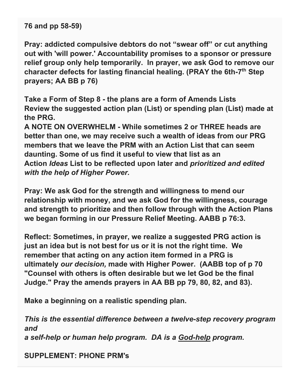**76 and pp 58-59)**

**Pray: addicted compulsive debtors do not "swear off" or cut anything out with 'will power.' Accountability promises to a sponsor or pressure relief group only help temporarily. In prayer, we ask God to remove our character defects for lasting financial healing. (PRAY the 6th-7th Step prayers; AA BB p 76)**

**Take a Form of Step 8 - the plans are a form of Amends Lists Review the suggested action plan (List) or spending plan (List) made at the PRG.**

**A NOTE ON OVERWHELM - While sometimes 2 or THREE heads are better than one, we may receive such a wealth of ideas from our PRG members that we leave the PRM with an Action List that can seem daunting. Some of us find it useful to view that list as an Action** *Ideas* **List to be reflected upon later and** *prioritized and edited with the help of Higher Power.*

**Pray: We ask God for the strength and willingness to mend our relationship with money, and we ask God for the willingness, courage and strength to prioritize and then follow through with the Action Plans we began forming in our Pressure Relief Meeting. AABB p 76:3.**

**Reflect: Sometimes, in prayer, we realize a suggested PRG action is just an idea but is not best for us or it is not the right time. We remember that acting on any action item formed in a PRG is ultimately** *our decision,* **made with Higher Power. (AABB top of p 70 "Counsel with others is often desirable but we let God be the final Judge." Pray the amends prayers in AA BB pp 79, 80, 82, and 83).**

**Make a beginning on a realistic spending plan.**

*This is the essential difference between a twelve-step recovery program and a self-help or human help program. DA is a God-help program.*

**SUPPLEMENT: PHONE PRM's**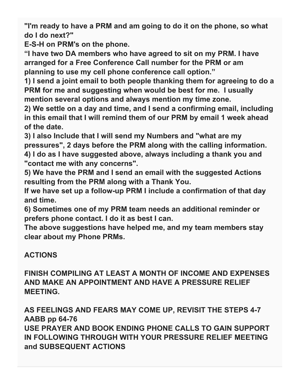**"I'm ready to have a PRM and am going to do it on the phone, so what do I do next?"**

**E-S-H on PRM's on the phone.**

**"I have two DA members who have agreed to sit on my PRM. I have arranged for a Free Conference Call number for the PRM or am planning to use my cell phone conference call option."**

**1) I send a joint email to both people thanking them for agreeing to do a PRM for me and suggesting when would be best for me. I usually mention several options and always mention my time zone.**

**2) We settle on a day and time, and I send a confirming email, including in this email that I will remind them of our PRM by email 1 week ahead of the date.**

**3) I also Include that I will send my Numbers and "what are my pressures", 2 days before the PRM along with the calling information. 4) I do as I have suggested above, always including a thank you and "contact me with any concerns".**

**5) We have the PRM and I send an email with the suggested Actions resulting from the PRM along with a Thank You.**

**If we have set up a follow-up PRM I include a confirmation of that day and time.**

**6) Sometimes one of my PRM team needs an additional reminder or prefers phone contact. I do it as best I can.**

**The above suggestions have helped me, and my team members stay clear about my Phone PRMs.**

# **ACTIONS**

**FINISH COMPILING AT LEAST A MONTH OF INCOME AND EXPENSES AND MAKE AN APPOINTMENT AND HAVE A PRESSURE RELIEF MEETING.**

**AS FEELINGS AND FEARS MAY COME UP, REVISIT THE STEPS 4-7 AABB pp 64-76 USE PRAYER AND BOOK ENDING PHONE CALLS TO GAIN SUPPORT IN FOLLOWING THROUGH WITH YOUR PRESSURE RELIEF MEETING and SUBSEQUENT ACTIONS**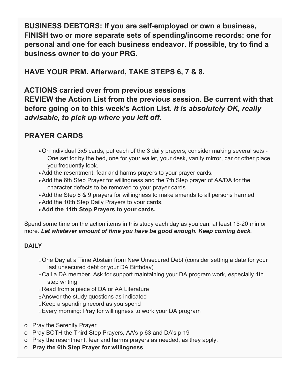**BUSINESS DEBTORS: If you are self-employed or own a business, FINISH two or more separate sets of spending/income records: one for personal and one for each business endeavor. If possible, try to find a business owner to do your PRG.**

**HAVE YOUR PRM. Afterward, TAKE STEPS 6, 7 & 8.**

**ACTIONS carried over from previous sessions REVIEW the Action List from the previous session. Be current with that before going on to this week's Action List.** *It is absolutely OK, really advisable, to pick up where you left off.*

#### **PRAYER CARDS**

- On individual 3x5 cards, put each of the 3 daily prayers; consider making several sets One set for by the bed, one for your wallet, your desk, vanity mirror, car or other place you frequently look.
- Add the resentment, fear and harms prayers to your prayer cards**.**
- Add the 6th Step Prayer for willingness and the 7th Step prayer of AA/DA for the character defects to be removed to your prayer cards
- Add the Step 8 & 9 prayers for willingness to make amends to all persons harmed
- Add the 10th Step Daily Prayers to your cards.
- **Add the 11th Step Prayers to your cards.**

Spend some time on the action items in this study each day as you can, at least 15-20 min or more. *Let whatever amount of time you have be good enough. Keep coming back.*

#### **DAILY**

- oOne Day at a Time Abstain from New Unsecured Debt (consider setting a date for your last unsecured debt or your DA Birthday)
- oCall a DA member. Ask for support maintaining your DA program work, especially 4th step writing
- oRead from a piece of DA or AA Literature
- oAnswer the study questions as indicated
- oKeep a spending record as you spend
- oEvery morning: Pray for willingness to work your DA program
- o Pray the Serenity Prayer
- o Pray BOTH the Third Step Prayers, AA's p 63 and DA's p 19
- o Pray the resentment, fear and harms prayers as needed, as they apply.
- o **Pray the 6th Step Prayer for willingness**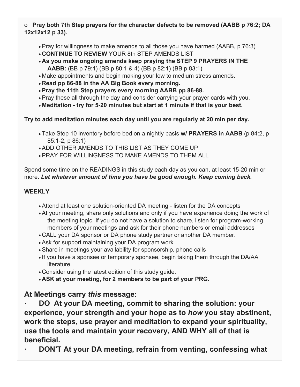o **Pray both 7th Step prayers for the character defects to be removed (AABB p 76:2; DA 12x12x12 p 33).**

- Pray for willingness to make amends to all those you have harmed (AABB, p 76:3)
- **CONTINUE TO REVIEW** YOUR 8th STEP AMENDS LIST
- **As you make ongoing amends keep praying the STEP 9 PRAYERS IN THE AABB:** (BB p 79:1) (BB p 80:1 & 4) (BB p 82:1) (BB p 83:1)
- Make appointments and begin making your low to medium stress amends.
- **Read pp 86-88 in the AA Big Book every morning.**
- **Pray the 11th Step prayers every morning AABB pp 86-88.**
- Pray these all through the day and consider carrying your prayer cards with you.
- **Meditation - try for 5-20 minutes but start at 1 minute if that is your best.**

**Try to add meditation minutes each day until you are regularly at 20 min per day.**

- Take Step 10 inventory before bed on a nightly basis **w/ PRAYERS in AABB** (p 84:2, p 85:1-2, p 86:1)
- ADD OTHER AMENDS TO THIS LIST AS THEY COME UP
- PRAY FOR WILLINGNESS TO MAKE AMENDS TO THEM ALL

Spend some time on the READINGS in this study each day as you can, at least 15-20 min or more. *Let whatever amount of time you have be good enough. Keep coming back.*

#### **WEEKLY**

- Attend at least one solution-oriented DA meeting listen for the DA concepts
- At your meeting, share only solutions and only if you have experience doing the work of the meeting topic. If you do not have a solution to share, listen for program-working members of your meetings and ask for their phone numbers or email addresses
- CALL your DA sponsor or DA phone study partner or another DA member.
- Ask for support maintaining your DA program work
- Share in meetings your availability for sponsorship, phone calls
- If you have a sponsee or temporary sponsee, begin taking them through the DA/AA literature.
- Consider using the latest edition of this study guide.
- **ASK at your meeting, for 2 members to be part of your PRG.**

#### **At Meetings carry** *this* **message:**

**· DO At your DA meeting, commit to sharing the solution: your experience, your strength and your hope as to** *how* **you stay abstinent, work the steps, use prayer and meditation to expand your spirituality, use the tools and maintain your recovery, AND WHY all of that is beneficial.**

**· DON'T At your DA meeting, refrain from venting, confessing what**